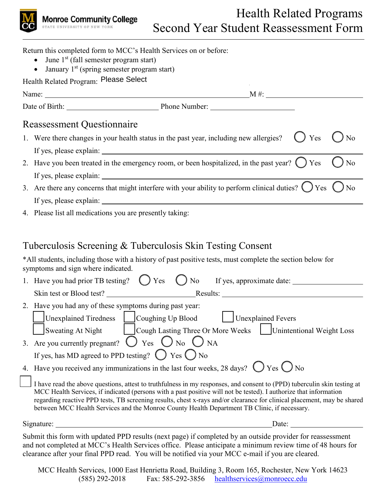

| Return this completed form to MCC's Health Services on or before:<br>June 1 <sup>st</sup> (fall semester program start)                         |
|-------------------------------------------------------------------------------------------------------------------------------------------------|
| • January $1st$ (spring semester program start)                                                                                                 |
| Health Related Program: Please Select                                                                                                           |
|                                                                                                                                                 |
|                                                                                                                                                 |
| <b>Reassessment Questionnaire</b>                                                                                                               |
| 1. Were there changes in your health status in the past year, including new allergies?<br>Yes<br>No                                             |
|                                                                                                                                                 |
| 2. Have you been treated in the emergency room, or been hospitalized, in the past year? $\bigcirc$ Yes<br>N <sub>o</sub>                        |
|                                                                                                                                                 |
| 3. Are there any concerns that might interfere with your ability to perform clinical duties? $\bigcirc$ Yes $\bigcirc$ No                       |
|                                                                                                                                                 |
| 4. Please list all medications you are presently taking:                                                                                        |
|                                                                                                                                                 |
| Tuberculosis Screening & Tuberculosis Skin Testing Consent                                                                                      |
| *All students, including those with a history of past positive tests, must complete the section below for<br>symptoms and sign where indicated. |
|                                                                                                                                                 |
| Skin test or Blood test?                                                                                                                        |

| ONIII IUSI OI DIOOU IUSI.                               | Results.                          |                           |  |  |
|---------------------------------------------------------|-----------------------------------|---------------------------|--|--|
| 2. Have you had any of these symptoms during past year: |                                   |                           |  |  |
| Unexplained Tiredness   Coughing Up Blood               |                                   | Unexplained Fevers        |  |  |
| Sweating At Night                                       | Cough Lasting Three Or More Weeks | Unintentional Weight Loss |  |  |

| $1 - 10$ $\mu$ cathing the exigine                                 | $100\,\mathrm{kg}$ Equating Times of More $\pi$ cents                     | $\sim$ |  |
|--------------------------------------------------------------------|---------------------------------------------------------------------------|--------|--|
|                                                                    | 3. Are you currently pregnant? $\bigcirc$ Yes $\bigcirc$ No $\bigcirc$ NA |        |  |
| If yes, has MD agreed to PPD testing? $\bigcirc$ Yes $\bigcirc$ No |                                                                           |        |  |

4. Have you received any immunizations in the last four weeks, 28 days?  $\bigcirc$  Yes  $\bigcirc$  No

I have read the above questions, attest to truthfulness in my responses, and consent to (PPD) tuberculin skin testing at MCC Health Services, if indicated (persons with a past positive will not be tested). I authorize that information regarding reactive PPD tests, TB screening results, chest x-rays and/or clearance for clinical placement, may be shared between MCC Health Services and the Monroe County Health Department TB Clinic, if necessary.

Signature: Date: Demonstration Date:

Submit this form with updated PPD results (next page) if completed by an outside provider for reassessment and not completed at MCC's Health Services office. Please anticipate a minimum review time of 48 hours for clearance after your final PPD read. You will be notified via your MCC e-mail if you are cleared.

MCC Health Services, 1000 East Henrietta Road, Building 3, Room 165, Rochester, New York 14623  $(585)$  292-2018 Fax: 585-292-3856 [healthservices@monroecc.edu](mailto:healthservices@monroecc.edu)